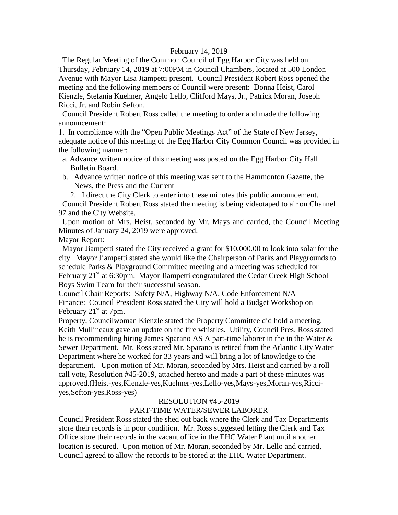### February 14, 2019

 The Regular Meeting of the Common Council of Egg Harbor City was held on Thursday, February 14, 2019 at 7:00PM in Council Chambers, located at 500 London Avenue with Mayor Lisa Jiampetti present. Council President Robert Ross opened the meeting and the following members of Council were present: Donna Heist, Carol Kienzle, Stefania Kuehner, Angelo Lello, Clifford Mays, Jr., Patrick Moran, Joseph Ricci, Jr. and Robin Sefton.

 Council President Robert Ross called the meeting to order and made the following announcement:

1. In compliance with the "Open Public Meetings Act" of the State of New Jersey, adequate notice of this meeting of the Egg Harbor City Common Council was provided in the following manner:

- a. Advance written notice of this meeting was posted on the Egg Harbor City Hall Bulletin Board.
- b. Advance written notice of this meeting was sent to the Hammonton Gazette, the News, the Press and the Current

2. I direct the City Clerk to enter into these minutes this public announcement.

 Council President Robert Ross stated the meeting is being videotaped to air on Channel 97 and the City Website.

 Upon motion of Mrs. Heist, seconded by Mr. Mays and carried, the Council Meeting Minutes of January 24, 2019 were approved.

Mayor Report:

 Mayor Jiampetti stated the City received a grant for \$10,000.00 to look into solar for the city. Mayor Jiampetti stated she would like the Chairperson of Parks and Playgrounds to schedule Parks & Playground Committee meeting and a meeting was scheduled for February 21<sup>st</sup> at 6:30pm. Mayor Jiampetti congratulated the Cedar Creek High School Boys Swim Team for their successful season.

Council Chair Reports: Safety N/A, Highway N/A, Code Enforcement N/A Finance: Council President Ross stated the City will hold a Budget Workshop on February  $21<sup>st</sup>$  at 7pm.

Property, Councilwoman Kienzle stated the Property Committee did hold a meeting. Keith Mullineaux gave an update on the fire whistles. Utility, Council Pres. Ross stated he is recommending hiring James Sparano AS A part-time laborer in the in the Water & Sewer Department. Mr. Ross stated Mr. Sparano is retired from the Atlantic City Water Department where he worked for 33 years and will bring a lot of knowledge to the department. Upon motion of Mr. Moran, seconded by Mrs. Heist and carried by a roll call vote, Resolution #45-2019, attached hereto and made a part of these minutes was approved.(Heist-yes,Kienzle-yes,Kuehner-yes,Lello-yes,Mays-yes,Moran-yes,Ricciyes,Sefton-yes,Ross-yes)

### RESOLUTION #45-2019

## PART-TIME WATER/SEWER LABORER

Council President Ross stated the shed out back where the Clerk and Tax Departments store their records is in poor condition. Mr. Ross suggested letting the Clerk and Tax Office store their records in the vacant office in the EHC Water Plant until another location is secured. Upon motion of Mr. Moran, seconded by Mr. Lello and carried, Council agreed to allow the records to be stored at the EHC Water Department.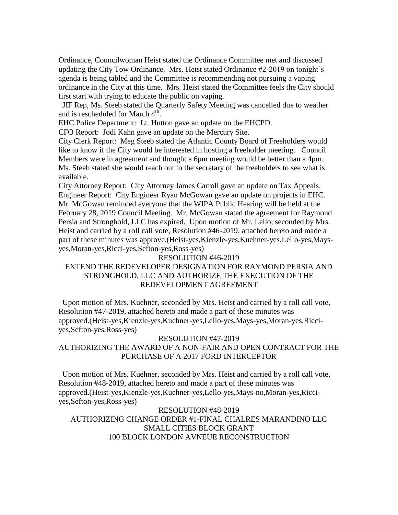Ordinance, Councilwoman Heist stated the Ordinance Committee met and discussed updating the City Tow Ordinance. Mrs. Heist stated Ordinance #2-2019 on tonight's agenda is being tabled and the Committee is recommending not pursuing a vaping ordinance in the City at this time. Mrs. Heist stated the Committee feels the City should first start with trying to educate the public on vaping.

 JIF Rep, Ms. Steeb stated the Quarterly Safety Meeting was cancelled due to weather and is rescheduled for March 4<sup>th</sup>.

EHC Police Department: Lt. Hutton gave an update on the EHCPD.

CFO Report: Jodi Kahn gave an update on the Mercury Site.

City Clerk Report: Meg Steeb stated the Atlantic County Board of Freeholders would like to know if the City would be interested in hosting a freeholder meeting. Council Members were in agreement and thought a 6pm meeting would be better than a 4pm. Ms. Steeb stated she would reach out to the secretary of the freeholders to see what is available.

City Attorney Report: City Attorney James Carroll gave an update on Tax Appeals. Engineer Report: City Engineer Ryan McGowan gave an update on projects in EHC. Mr. McGowan reminded everyone that the WIPA Public Hearing will be held at the February 28, 2019 Council Meeting. Mr. McGowan stated the agreement for Raymond Persia and Stronghold, LLC has expired. Upon motion of Mr. Lello, seconded by Mrs. Heist and carried by a roll call vote, Resolution #46-2019, attached hereto and made a part of these minutes was approve.(Heist-yes,Kienzle-yes,Kuehner-yes,Lello-yes,Maysyes,Moran-yes,Ricci-yes,Sefton-yes,Ross-yes)

#### RESOLUTION #46-2019

# EXTEND THE REDEVELOPER DESIGNATION FOR RAYMOND PERSIA AND STRONGHOLD, LLC AND AUTHORIZE THE EXECUTION OF THE REDEVELOPMENT AGREEMENT

 Upon motion of Mrs. Kuehner, seconded by Mrs. Heist and carried by a roll call vote, Resolution #47-2019, attached hereto and made a part of these minutes was approved.(Heist-yes,Kienzle-yes,Kuehner-yes,Lello-yes,Mays-yes,Moran-yes,Ricciyes,Sefton-yes,Ross-yes)

#### RESOLUTION #47-2019

## AUTHORIZING THE AWARD OF A NON-FAIR AND OPEN CONTRACT FOR THE PURCHASE OF A 2017 FORD INTERCEPTOR

 Upon motion of Mrs. Kuehner, seconded by Mrs. Heist and carried by a roll call vote, Resolution #48-2019, attached hereto and made a part of these minutes was approved.(Heist-yes,Kienzle-yes,Kuehner-yes,Lello-yes,Mays-no,Moran-yes,Ricciyes,Sefton-yes,Ross-yes)

RESOLUTION #48-2019 AUTHORIZING CHANGE ORDER #1-FINAL CHALRES MARANDINO LLC SMALL CITIES BLOCK GRANT 100 BLOCK LONDON AVNEUE RECONSTRUCTION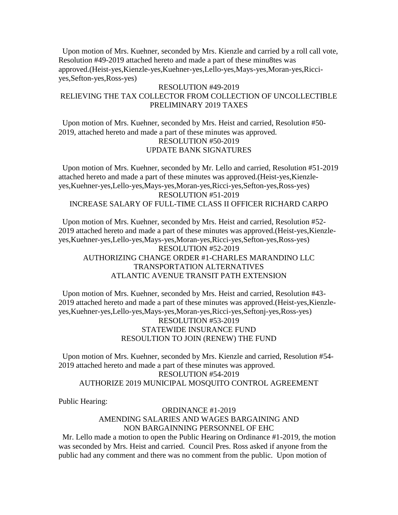Upon motion of Mrs. Kuehner, seconded by Mrs. Kienzle and carried by a roll call vote, Resolution #49-2019 attached hereto and made a part of these minu8tes was approved.(Heist-yes,Kienzle-yes,Kuehner-yes,Lello-yes,Mays-yes,Moran-yes,Ricciyes,Sefton-yes,Ross-yes)

## RESOLUTION #49-2019 RELIEVING THE TAX COLLECTOR FROM COLLECTION OF UNCOLLECTIBLE PRELIMINARY 2019 TAXES

 Upon motion of Mrs. Kuehner, seconded by Mrs. Heist and carried, Resolution #50- 2019, attached hereto and made a part of these minutes was approved. RESOLUTION #50-2019 UPDATE BANK SIGNATURES

 Upon motion of Mrs. Kuehner, seconded by Mr. Lello and carried, Resolution #51-2019 attached hereto and made a part of these minutes was approved.(Heist-yes,Kienzleyes,Kuehner-yes,Lello-yes,Mays-yes,Moran-yes,Ricci-yes,Sefton-yes,Ross-yes) RESOLUTION #51-2019 INCREASE SALARY OF FULL-TIME CLASS II OFFICER RICHARD CARPO

 Upon motion of Mrs. Kuehner, seconded by Mrs. Heist and carried, Resolution #52- 2019 attached hereto and made a part of these minutes was approved.(Heist-yes,Kienzleyes,Kuehner-yes,Lello-yes,Mays-yes,Moran-yes,Ricci-yes,Sefton-yes,Ross-yes) RESOLUTION #52-2019 AUTHORIZING CHANGE ORDER #1-CHARLES MARANDINO LLC TRANSPORTATION ALTERNATIVES ATLANTIC AVENUE TRANSIT PATH EXTENSION

 Upon motion of Mrs. Kuehner, seconded by Mrs. Heist and carried, Resolution #43- 2019 attached hereto and made a part of these minutes was approved.(Heist-yes,Kienzleyes,Kuehner-yes,Lello-yes,Mays-yes,Moran-yes,Ricci-yes,Seftonj-yes,Ross-yes) RESOLUTION #53-2019 STATEWIDE INSURANCE FUND

### RESOULTION TO JOIN (RENEW) THE FUND

 Upon motion of Mrs. Kuehner, seconded by Mrs. Kienzle and carried, Resolution #54- 2019 attached hereto and made a part of these minutes was approved. RESOLUTION #54-2019 AUTHORIZE 2019 MUNICIPAL MOSQUITO CONTROL AGREEMENT

Public Hearing:

### ORDINANCE #1-2019 AMENDING SALARIES AND WAGES BARGAINING AND NON BARGAINNING PERSONNEL OF EHC

 Mr. Lello made a motion to open the Public Hearing on Ordinance #1-2019, the motion was seconded by Mrs. Heist and carried. Council Pres. Ross asked if anyone from the public had any comment and there was no comment from the public. Upon motion of